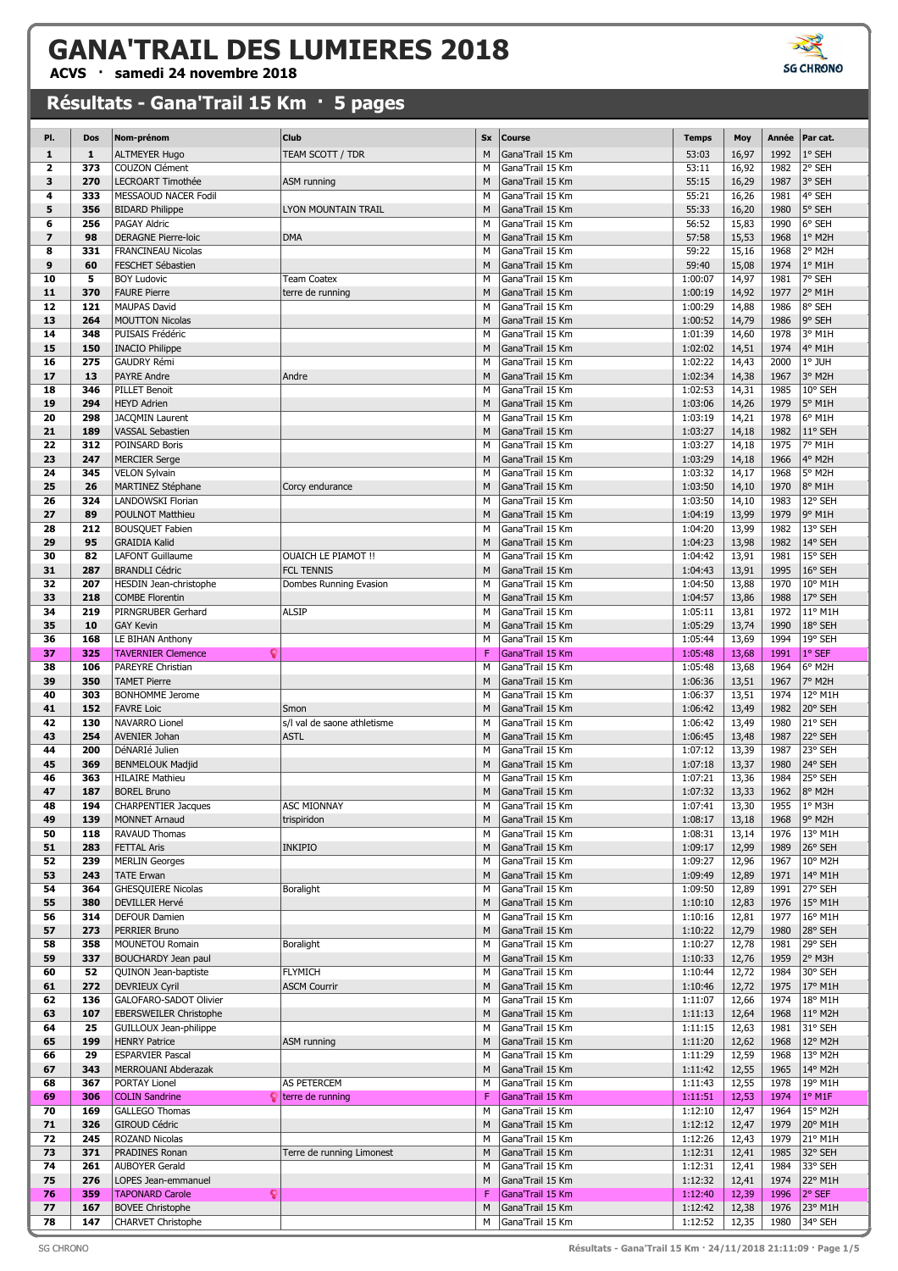**ACVS · samedi 24 novembre 2018**

| PI.                     | Dos          | Nom-prénom                     | Club                        | Sx | <b>Course</b>    | <b>Temps</b> | Moy   | Année | Par cat. |
|-------------------------|--------------|--------------------------------|-----------------------------|----|------------------|--------------|-------|-------|----------|
| 1                       | $\mathbf{1}$ | <b>ALTMEYER Hugo</b>           | TEAM SCOTT / TDR            | M  | Gana'Trail 15 Km | 53:03        | 16,97 | 1992  | 1° SEH   |
| $\overline{\mathbf{2}}$ | 373          | COUZON Clément                 |                             | M  | Gana'Trail 15 Km | 53:11        | 16,92 | 1982  | 2° SEH   |
| 3                       | 270          | <b>LECROART Timothée</b>       | ASM running                 | M  | Gana'Trail 15 Km | 55:15        | 16,29 | 1987  | 3° SEH   |
| 4                       | 333          | MESSAOUD NACER Fodil           |                             | M  | Gana'Trail 15 Km | 55:21        | 16,26 | 1981  | 4° SEH   |
|                         |              |                                |                             |    |                  |              |       |       |          |
| 5                       | 356          | <b>BIDARD Philippe</b>         | <b>LYON MOUNTAIN TRAIL</b>  | M  | Gana'Trail 15 Km | 55:33        | 16,20 | 1980  | 5° SEH   |
| 6                       | 256          | <b>PAGAY Aldric</b>            |                             | M  | Gana'Trail 15 Km | 56:52        | 15,83 | 1990  | 6° SEH   |
| $\overline{\mathbf{z}}$ | 98           | <b>DERAGNE Pierre-loic</b>     | <b>DMA</b>                  | M  | Gana'Trail 15 Km | 57:58        | 15,53 | 1968  | 1° M2H   |
| 8                       | 331          | <b>FRANCINEAU Nicolas</b>      |                             | M  | Gana'Trail 15 Km | 59:22        | 15,16 | 1968  | 2° M2H   |
| 9                       | 60           | FESCHET Sébastien              |                             | M  | Gana'Trail 15 Km | 59:40        | 15,08 | 1974  | $1°$ M1H |
| 10                      | 5            | <b>BOY Ludovic</b>             | <b>Team Coatex</b>          | M  | Gana'Trail 15 Km | 1:00:07      | 14,97 | 1981  | 7° SEH   |
| 11                      | 370          | <b>FAURE Pierre</b>            | terre de running            | M  | Gana'Trail 15 Km | 1:00:19      | 14,92 | 1977  | 2° M1H   |
| 12                      | 121          | <b>MAUPAS David</b>            |                             | M  | Gana'Trail 15 Km | 1:00:29      | 14,88 | 1986  | 8° SEH   |
| 13                      | 264          | <b>MOUTTON Nicolas</b>         |                             | M  | Gana'Trail 15 Km | 1:00:52      | 14,79 | 1986  | 9° SEH   |
|                         |              | PUISAIS Frédéric               |                             |    |                  |              |       |       |          |
| 14                      | 348          |                                |                             | M  | Gana'Trail 15 Km | 1:01:39      | 14,60 | 1978  | 3° M1H   |
| 15                      | 150          | <b>INACIO Philippe</b>         |                             | M  | Gana'Trail 15 Km | 1:02:02      | 14,51 | 1974  | 4° M1H   |
| 16                      | 275          | <b>GAUDRY Rémi</b>             |                             | M  | Gana'Trail 15 Km | 1:02:22      | 14,43 | 2000  | 1° JUH   |
| 17                      | 13           | <b>PAYRE Andre</b>             | Andre                       | M  | Gana'Trail 15 Km | 1:02:34      | 14,38 | 1967  | 3° M2H   |
| 18                      | 346          | <b>PILLET Benoit</b>           |                             | M  | Gana'Trail 15 Km | 1:02:53      | 14,31 | 1985  | 10° SEH  |
| 19                      | 294          | <b>HEYD Adrien</b>             |                             | M  | Gana'Trail 15 Km | 1:03:06      | 14,26 | 1979  | 5° M1H   |
| 20                      | 298          | JACQMIN Laurent                |                             | M  | Gana'Trail 15 Km | 1:03:19      | 14,21 | 1978  | 6° M1H   |
| 21                      | 189          | <b>VASSAL Sebastien</b>        |                             | M  | Gana'Trail 15 Km | 1:03:27      | 14,18 | 1982  | 11° SEH  |
| 22                      | 312          | POINSARD Boris                 |                             | M  | Gana'Trail 15 Km | 1:03:27      | 14,18 | 1975  | 7° M1H   |
|                         |              |                                |                             |    |                  |              |       |       |          |
| 23                      | 247          | <b>MERCIER Serge</b>           |                             | M  | Gana'Trail 15 Km | 1:03:29      | 14,18 | 1966  | 4° M2H   |
| 24                      | 345          | <b>VELON Sylvain</b>           |                             | M  | Gana'Trail 15 Km | 1:03:32      | 14,17 | 1968  | 5° M2H   |
| 25                      | 26           | MARTINEZ Stéphane              | Corcy endurance             | M  | Gana'Trail 15 Km | 1:03:50      | 14,10 | 1970  | 8° M1H   |
| 26                      | 324          | LANDOWSKI Florian              |                             | M  | Gana'Trail 15 Km | 1:03:50      | 14,10 | 1983  | 12° SEH  |
| 27                      | 89           | POULNOT Matthieu               |                             | M  | Gana'Trail 15 Km | 1:04:19      | 13,99 | 1979  | 9° M1H   |
| 28                      | 212          | <b>BOUSQUET Fabien</b>         |                             | M  | Gana'Trail 15 Km | 1:04:20      | 13,99 | 1982  | 13° SEH  |
| 29                      | 95           | <b>GRAIDIA Kalid</b>           |                             | M  | Gana'Trail 15 Km | 1:04:23      | 13,98 | 1982  | 14° SEH  |
| 30                      | 82           | <b>LAFONT Guillaume</b>        | <b>OUAICH LE PIAMOT !!</b>  | M  | Gana'Trail 15 Km | 1:04:42      | 13,91 | 1981  | 15° SEH  |
| 31                      | 287          | <b>BRANDLI Cédric</b>          | <b>FCL TENNIS</b>           | M  | Gana'Trail 15 Km | 1:04:43      | 13,91 | 1995  | 16° SEH  |
| 32                      | 207          | HESDIN Jean-christophe         |                             | М  | Gana'Trail 15 Km | 1:04:50      | 13,88 | 1970  | 10° M1H  |
|                         |              |                                | Dombes Running Evasion      |    |                  |              |       |       |          |
| 33                      | 218          | <b>COMBE Florentin</b>         |                             | M  | Gana'Trail 15 Km | 1:04:57      | 13,86 | 1988  | 17° SEH  |
| 34                      | 219          | PIRNGRUBER Gerhard             | <b>ALSIP</b>                | M  | Gana'Trail 15 Km | 1:05:11      | 13,81 | 1972  | 11° M1H  |
| 35                      | 10           | <b>GAY Kevin</b>               |                             | M  | Gana'Trail 15 Km | 1:05:29      | 13,74 | 1990  | 18° SEH  |
| 36                      | 168          | LE BIHAN Anthony               |                             | M  | Gana'Trail 15 Km | 1:05:44      | 13,69 | 1994  | 19° SEH  |
| 37                      | 325          | <b>TAVERNIER Clemence</b><br>g |                             | F  | Gana'Trail 15 Km | 1:05:48      | 13,68 | 1991  | 1° SEF   |
| 38                      | 106          | PAREYRE Christian              |                             | M  | Gana'Trail 15 Km | 1:05:48      | 13,68 | 1964  | 6° M2H   |
| 39                      | 350          | <b>TAMET Pierre</b>            |                             | M  | Gana'Trail 15 Km | 1:06:36      | 13,51 | 1967  | 7° M2H   |
| 40                      | 303          | <b>BONHOMME Jerome</b>         |                             | M  | Gana'Trail 15 Km | 1:06:37      | 13,51 | 1974  | 12° M1H  |
| 41                      | 152          | <b>FAVRE Loic</b>              | Smon                        | M  | Gana'Trail 15 Km | 1:06:42      | 13,49 | 1982  | 20° SEH  |
|                         | 130          | NAVARRO Lionel                 |                             | M  | Gana'Trail 15 Km |              |       | 1980  |          |
| 42                      |              |                                | s/I val de saone athletisme |    |                  | 1:06:42      | 13,49 |       | 21° SEH  |
| 43                      | 254          | <b>AVENIER Johan</b>           | <b>ASTL</b>                 | M  | Gana'Trail 15 Km | 1:06:45      | 13,48 | 1987  | 22° SEH  |
| 44                      | 200          | DéNARIé Julien                 |                             | M  | Gana'Trail 15 Km | 1:07:12      | 13,39 | 1987  | 23° SEH  |
| 45                      | 369          | <b>BENMELOUK Madjid</b>        |                             | M  | Gana'Trail 15 Km | 1:07:18      | 13,37 | 1980  | 24° SEH  |
| 46                      | 363          | <b>HILAIRE Mathieu</b>         |                             | M  | Gana'Trail 15 Km | 1:07:21      | 13,36 | 1984  | 25° SEH  |
| 47                      | 187          | <b>BOREL Bruno</b>             |                             | M  | Gana'Trail 15 Km | 1:07:32      | 13,33 | 1962  | 8° M2H   |
| 48                      | 194          | <b>CHARPENTIER Jacques</b>     | ASC MIONNAY                 | M  | Gana'Trail 15 Km | 1:07:41      | 13,30 | 1955  | 1° M3H   |
| 49                      | 139          | <b>MONNET Arnaud</b>           | trispiridon                 | M  | Gana'Trail 15 Km | 1:08:17      | 13,18 | 1968  | 9° M2H   |
| 50                      | 118          | RAVAUD Thomas                  |                             | M  | Gana'Trail 15 Km | 1:08:31      | 13,14 | 1976  | 13° M1H  |
| 51                      | 283          | <b>FETTAL Aris</b>             | <b>INKIPIO</b>              | M  | Gana'Trail 15 Km | 1:09:17      | 12,99 | 1989  | 26° SEH  |
| 52                      | 239          | <b>MERLIN Georges</b>          |                             | M  | Gana'Trail 15 Km | 1:09:27      | 12,96 | 1967  | 10° M2H  |
| 53                      | 243          | <b>TATE Erwan</b>              |                             | M  | Gana'Trail 15 Km | 1:09:49      | 12,89 | 1971  | 14° M1H  |
| 54                      | 364          | <b>GHESQUIERE Nicolas</b>      | Boralight                   | M  | Gana'Trail 15 Km | 1:09:50      | 12,89 | 1991  | 27° SEH  |
|                         |              |                                |                             |    |                  |              |       |       |          |
| 55                      | 380          | <b>DEVILLER Hervé</b>          |                             | M  | Gana'Trail 15 Km | 1:10:10      | 12,83 | 1976  | 15° M1H  |
| 56                      | 314          | DEFOUR Damien                  |                             | M  | Gana'Trail 15 Km | 1:10:16      | 12,81 | 1977  | 16° M1H  |
| 57                      | 273          | PERRIER Bruno                  |                             | M  | Gana'Trail 15 Km | 1:10:22      | 12,79 | 1980  | 28° SEH  |
| 58                      | 358          | MOUNETOU Romain                | Boralight                   | M  | Gana'Trail 15 Km | 1:10:27      | 12,78 | 1981  | 29° SEH  |
| 59                      | 337          | BOUCHARDY Jean paul            |                             | M  | Gana'Trail 15 Km | 1:10:33      | 12,76 | 1959  | 2° M3H   |
| 60                      | 52           | QUINON Jean-baptiste           | <b>FLYMICH</b>              | M  | Gana'Trail 15 Km | 1:10:44      | 12,72 | 1984  | 30° SEH  |
| 61                      | 272          | <b>DEVRIEUX Cyril</b>          | <b>ASCM Courrir</b>         | M  | Gana'Trail 15 Km | 1:10:46      | 12,72 | 1975  | 17° M1H  |
| 62                      | 136          | GALOFARO-SADOT Olivier         |                             | М  | Gana'Trail 15 Km | 1:11:07      | 12,66 | 1974  | 18° M1H  |
| 63                      | 107          | <b>EBERSWEILER Christophe</b>  |                             | M  | Gana'Trail 15 Km | 1:11:13      | 12,64 | 1968  | 11° M2H  |
| 64                      | 25           | GUILLOUX Jean-philippe         |                             | М  | Gana'Trail 15 Km | 1:11:15      | 12,63 | 1981  | 31° SEH  |
| 65                      | 199          | <b>HENRY Patrice</b>           | ASM running                 | M  | Gana'Trail 15 Km | 1:11:20      | 12,62 | 1968  | 12° M2H  |
| 66                      | 29           | <b>ESPARVIER Pascal</b>        |                             | М  | Gana'Trail 15 Km | 1:11:29      | 12,59 | 1968  | 13° M2H  |
| 67                      | 343          | MERROUANI Abderazak            |                             | M  | Gana'Trail 15 Km | 1:11:42      | 12,55 | 1965  | 14° M2H  |
|                         |              |                                |                             |    |                  |              |       |       |          |
| 68                      | 367          | PORTAY Lionel                  | AS PETERCEM                 | М  | Gana'Trail 15 Km | 1:11:43      | 12,55 | 1978  | 19° M1H  |
| 69                      | 306          | <b>COLIN Sandrine</b>          | $\bullet$ terre de running  | F  | Gana'Trail 15 Km | 1:11:51      | 12,53 | 1974  | $1°$ M1F |
| 70                      | 169          | <b>GALLEGO Thomas</b>          |                             | M  | Gana'Trail 15 Km | 1:12:10      | 12,47 | 1964  | 15° M2H  |
| 71                      | 326          | <b>GIROUD Cédric</b>           |                             | M  | Gana'Trail 15 Km | 1:12:12      | 12,47 | 1979  | 20° M1H  |
| 72                      | 245          | <b>ROZAND Nicolas</b>          |                             | М  | Gana'Trail 15 Km | 1:12:26      | 12,43 | 1979  | 21° M1H  |
| 73                      | 371          | PRADINES Ronan                 | Terre de running Limonest   | M  | Gana'Trail 15 Km | 1:12:31      | 12,41 | 1985  | 32° SEH  |
| 74                      | 261          | <b>AUBOYER Gerald</b>          |                             | M  | Gana'Trail 15 Km | 1:12:31      | 12,41 | 1984  | 33° SEH  |
| 75                      | 276          | LOPES Jean-emmanuel            |                             | M  | Gana'Trail 15 Km | 1:12:32      | 12,41 | 1974  | 22° M1H  |
| 76                      | 359          | <b>TAPONARD Carole</b><br>្    |                             | F  | Gana'Trail 15 Km | 1:12:40      | 12,39 | 1996  | 2° SEF   |
| 77                      | 167          | <b>BOVEE Christophe</b>        |                             | M  | Gana'Trail 15 Km | 1:12:42      | 12,38 | 1976  | 23° M1H  |
| 78                      | 147          | CHARVET Christophe             |                             | М  | Gana'Trail 15 Km | 1:12:52      | 12,35 | 1980  | 34° SEH  |
|                         |              |                                |                             |    |                  |              |       |       |          |



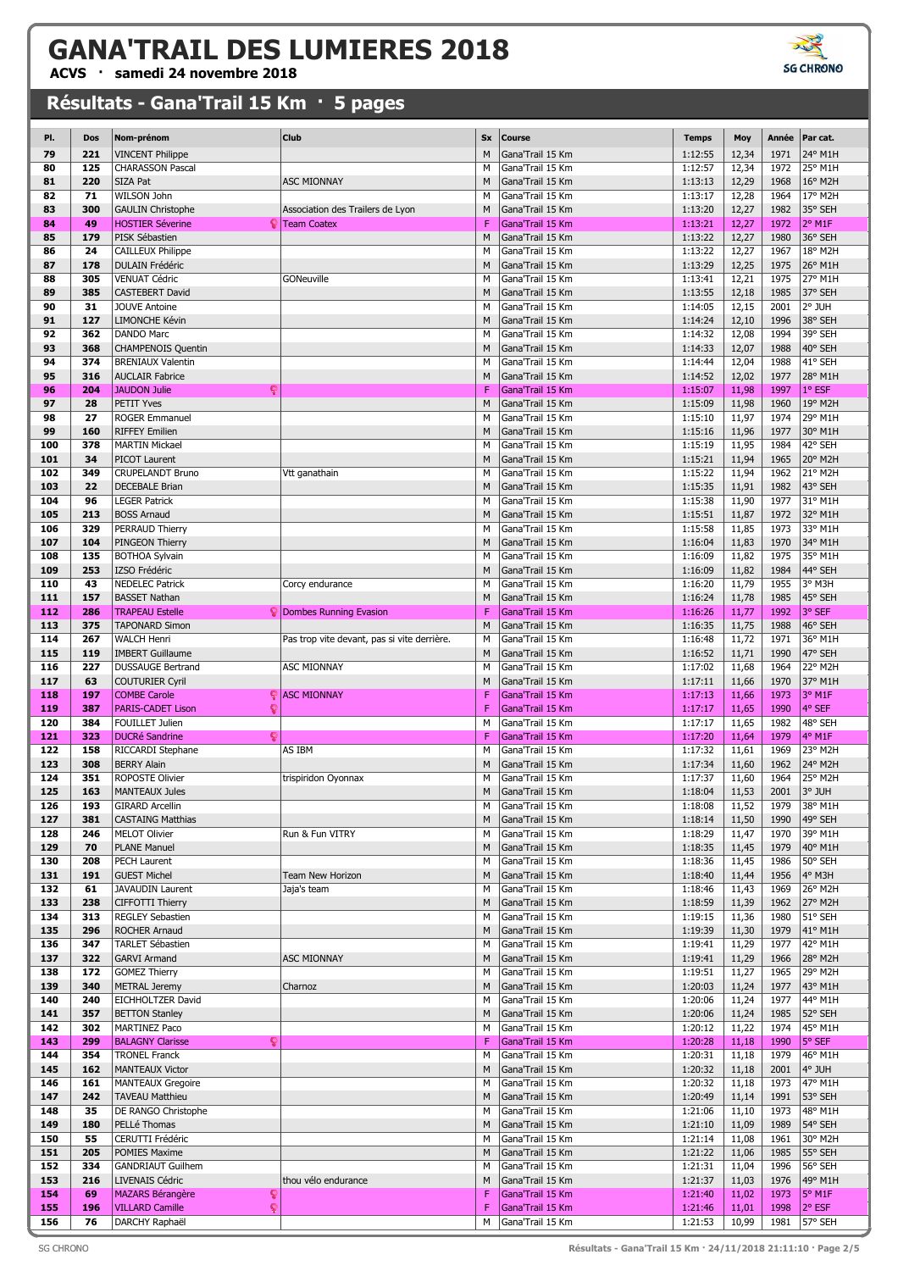**ACVS · samedi 24 novembre 2018**

| PI. | Dos        | Nom-prénom                    | Club                                        | <b>Sx</b> | Course           | <b>Temps</b> | Moy   | Année | Par cat.        |
|-----|------------|-------------------------------|---------------------------------------------|-----------|------------------|--------------|-------|-------|-----------------|
| 79  | 221        | <b>VINCENT Philippe</b>       |                                             | M         | Gana'Trail 15 Km | 1:12:55      | 12,34 | 1971  | 24° M1H         |
| 80  | 125        | <b>CHARASSON Pascal</b>       |                                             | М         | Gana'Trail 15 Km | 1:12:57      | 12,34 | 1972  | 25° M1H         |
| 81  | 220        | <b>SIZA Pat</b>               | <b>ASC MIONNAY</b>                          | M         | Gana'Trail 15 Km | 1:13:13      | 12,29 | 1968  | 16° M2H         |
| 82  | 71         | WILSON John                   |                                             | M         | Gana'Trail 15 Km | 1:13:17      | 12,28 | 1964  | 17° M2H         |
| 83  | 300        | <b>GAULIN Christophe</b>      | Association des Trailers de Lyon            | M         | Gana'Trail 15 Km | 1:13:20      | 12,27 | 1982  | 35° SEH         |
| 84  | 49         | <b>HOSTIER Séverine</b><br>Q  | <b>Team Coatex</b>                          | F         | Gana'Trail 15 Km | 1:13:21      | 12,27 | 1972  | 2° M1F          |
| 85  | 179        | PISK Sébastien                |                                             | M         | Gana'Trail 15 Km | 1:13:22      | 12,27 | 1980  | 36° SEH         |
| 86  | 24         | CAILLEUX Philippe             |                                             | M         | Gana'Trail 15 Km | 1:13:22      | 12,27 | 1967  | 18° M2H         |
| 87  | 178        | <b>DULAIN Frédéric</b>        |                                             | M         | Gana'Trail 15 Km | 1:13:29      | 12,25 | 1975  | 26° M1H         |
| 88  | 305        | <b>VENUAT Cédric</b>          | GONeuville                                  | M         | Gana'Trail 15 Km | 1:13:41      | 12,21 | 1975  | 27° M1H         |
| 89  | 385        | <b>CASTEBERT David</b>        |                                             | M         | Gana'Trail 15 Km | 1:13:55      | 12,18 | 1985  | 37° SEH         |
| 90  | 31         | <b>JOUVE Antoine</b>          |                                             | M         | Gana'Trail 15 Km | 1:14:05      | 12,15 | 2001  | 2° JUH          |
| 91  |            | LIMONCHE Kévin                |                                             |           | Gana'Trail 15 Km | 1:14:24      |       | 1996  | 38° SEH         |
| 92  | 127<br>362 | <b>DANDO Marc</b>             |                                             | M<br>M    | Gana'Trail 15 Km | 1:14:32      | 12,10 | 1994  | 39° SEH         |
|     |            |                               |                                             |           |                  |              | 12,08 |       |                 |
| 93  | 368        | <b>CHAMPENOIS Quentin</b>     |                                             | M         | Gana'Trail 15 Km | 1:14:33      | 12,07 | 1988  | 40° SEH         |
| 94  | 374        | <b>BRENIAUX Valentin</b>      |                                             | M         | Gana'Trail 15 Km | 1:14:44      | 12,04 | 1988  | 41° SEH         |
| 95  | 316        | <b>AUCLAIR Fabrice</b>        |                                             | M         | Gana'Trail 15 Km | 1:14:52      | 12,02 | 1977  | 28° M1H         |
| 96  | 204        | ç<br><b>JAUDON Julie</b>      |                                             | F         | Gana'Trail 15 Km | 1:15:07      | 11,98 | 1997  | 1° ESF          |
| 97  | 28         | PETIT Yves                    |                                             | M         | Gana'Trail 15 Km | 1:15:09      | 11,98 | 1960  | 19° M2H         |
| 98  | 27         | <b>ROGER Emmanuel</b>         |                                             | М         | Gana'Trail 15 Km | 1:15:10      | 11,97 | 1974  | 29° M1H         |
| 99  | 160        | <b>RIFFEY Emilien</b>         |                                             | M         | Gana'Trail 15 Km | 1:15:16      | 11,96 | 1977  | 30° M1H         |
| 100 | 378        | <b>MARTIN Mickael</b>         |                                             | M         | Gana'Trail 15 Km | 1:15:19      | 11,95 | 1984  | 42° SEH         |
| 101 | 34         | PICOT Laurent                 |                                             | M         | Gana'Trail 15 Km | 1:15:21      | 11,94 | 1965  | 20° M2H         |
| 102 | 349        | <b>CRUPELANDT Bruno</b>       | Vtt ganathain                               | М         | Gana'Trail 15 Km | 1:15:22      | 11,94 | 1962  | 21° M2H         |
| 103 | 22         | <b>DECEBALE Brian</b>         |                                             | M         | Gana'Trail 15 Km | 1:15:35      | 11,91 | 1982  | 43° SEH         |
| 104 | 96         | <b>LEGER Patrick</b>          |                                             | M         | Gana'Trail 15 Km | 1:15:38      | 11,90 | 1977  | 31° M1H         |
| 105 | 213        | <b>BOSS Arnaud</b>            |                                             | M         | Gana'Trail 15 Km | 1:15:51      | 11,87 | 1972  | 32° M1H         |
| 106 | 329        | PERRAUD Thierry               |                                             | М         | Gana'Trail 15 Km | 1:15:58      | 11,85 | 1973  | 33° M1H         |
| 107 | 104        | PINGEON Thierry               |                                             | M         | Gana'Trail 15 Km | 1:16:04      | 11,83 | 1970  | 34° M1H         |
| 108 | 135        | <b>BOTHOA Sylvain</b>         |                                             | М         | Gana'Trail 15 Km | 1:16:09      | 11,82 | 1975  | 35° M1H         |
| 109 | 253        | IZSO Frédéric                 |                                             | M         | Gana'Trail 15 Km | 1:16:09      | 11,82 | 1984  | 44° SEH         |
| 110 | 43         | <b>NEDELEC Patrick</b>        | Corcy endurance                             | М         | Gana'Trail 15 Km | 1:16:20      | 11,79 | 1955  | 3° M3H          |
| 111 | 157        | <b>BASSET Nathan</b>          |                                             | M         | Gana'Trail 15 Km | 1:16:24      | 11,78 | 1985  | 45° SEH         |
| 112 | 286        | <b>TRAPEAU Estelle</b>        | <b>Dombes Running Evasion</b>               | F         | Gana'Trail 15 Km | 1:16:26      | 11,77 | 1992  | 3° SEF          |
| 113 | 375        | <b>TAPONARD Simon</b>         |                                             | M         | Gana'Trail 15 Km | 1:16:35      | 11,75 | 1988  | 46° SEH         |
| 114 | 267        | WALCH Henri                   | Pas trop vite devant, pas si vite derrière. | M         | Gana'Trail 15 Km | 1:16:48      | 11,72 | 1971  | 36° M1H         |
| 115 | 119        | <b>IMBERT Guillaume</b>       |                                             | M         | Gana'Trail 15 Km | 1:16:52      | 11,71 | 1990  | 47° SEH         |
| 116 | 227        |                               |                                             | M         | Gana'Trail 15 Km | 1:17:02      | 11,68 | 1964  | 22° M2H         |
|     | 63         | <b>DUSSAUGE Bertrand</b>      | <b>ASC MIONNAY</b>                          |           |                  |              |       |       | 37° M1H         |
| 117 |            | <b>COUTURIER Cyril</b>        |                                             | M         | Gana'Trail 15 Km | 1:17:11      | 11,66 | 1970  |                 |
| 118 | 197        | <b>COMBE Carole</b><br>Q      | <b>ASC MIONNAY</b>                          | F         | Gana'Trail 15 Km | 1:17:13      | 11,66 | 1973  | 3° M1F          |
| 119 | 387        | ç<br><b>PARIS-CADET Lison</b> |                                             | F         | Gana'Trail 15 Km | 1:17:17      | 11,65 | 1990  | 4° SEF          |
| 120 | 384        | <b>FOUILLET Julien</b>        |                                             | M         | Gana'Trail 15 Km | 1:17:17      | 11,65 | 1982  | 48° SEH         |
| 121 | 323        | <b>DUCRé Sandrine</b><br>Q    |                                             | F         | Gana'Trail 15 Km | 1:17:20      | 11,64 | 1979  | 4° M1F          |
| 122 | 158        | RICCARDI Stephane             | AS IBM                                      | M         | Gana'Trail 15 Km | 1:17:32      | 11,61 | 1969  | 23° M2H         |
| 123 | 308        | <b>BERRY Alain</b>            |                                             | M         | Gana'Trail 15 Km | 1:17:34      | 11,60 | 1962  | 24° M2H         |
| 124 | 351        | <b>ROPOSTE Olivier</b>        | trispiridon Oyonnax                         | M         | Gana'Trail 15 Km | 1:17:37      | 11,60 | 1964  | 25° M2H         |
| 125 | 163        | <b>MANTEAUX Jules</b>         |                                             | M         | Gana'Trail 15 Km | 1:18:04      | 11,53 | 2001  | 3° JUH          |
| 126 | 193        | <b>GIRARD Arcellin</b>        |                                             | M         | Gana'Trail 15 Km | 1:18:08      | 11,52 | 1979  | 38° M1H         |
| 127 | 381        | <b>CASTAING Matthias</b>      |                                             | M         | Gana'Trail 15 Km | 1:18:14      | 11,50 | 1990  | 49° SEH         |
| 128 | 246        | <b>MELOT Olivier</b>          | Run & Fun VITRY                             | М         | Gana'Trail 15 Km | 1:18:29      | 11,47 | 1970  | 39° M1H         |
| 129 | 70         | <b>PLANE Manuel</b>           |                                             | M         | Gana'Trail 15 Km | 1:18:35      | 11,45 | 1979  | 40° M1H         |
| 130 | 208        | PECH Laurent                  |                                             | М         | Gana'Trail 15 Km | 1:18:36      | 11,45 | 1986  | 50° SEH         |
| 131 | 191        | <b>GUEST Michel</b>           | Team New Horizon                            | M         | Gana'Trail 15 Km | 1:18:40      | 11,44 | 1956  | 4° M3H          |
| 132 | 61         | <b>JAVAUDIN Laurent</b>       | Jaja's team                                 | м         | Gana'Trail 15 Km | 1:18:46      | 11,43 | 1969  | 26° M2H         |
| 133 | 238        | <b>CIFFOTTI Thierry</b>       |                                             | M         | Gana'Trail 15 Km | 1:18:59      | 11,39 | 1962  | 27° M2H         |
| 134 | 313        | <b>REGLEY Sebastien</b>       |                                             | М         | Gana'Trail 15 Km | 1:19:15      | 11,36 | 1980  | 51° SEH         |
| 135 | 296        | ROCHER Arnaud                 |                                             | M         | Gana'Trail 15 Km | 1:19:39      | 11,30 | 1979  | 41° M1H         |
| 136 | 347        | <b>TARLET Sébastien</b>       |                                             | М         | Gana'Trail 15 Km | 1:19:41      | 11,29 | 1977  | 42° M1H         |
| 137 | 322        | <b>GARVI Armand</b>           | <b>ASC MIONNAY</b>                          | M         | Gana'Trail 15 Km | 1:19:41      | 11,29 | 1966  | 28° M2H         |
| 138 | 172        | <b>GOMEZ Thierry</b>          |                                             | М         | Gana'Trail 15 Km | 1:19:51      | 11,27 | 1965  | 29° M2H         |
| 139 | 340        | <b>METRAL Jeremy</b>          | Charnoz                                     | M         | Gana'Trail 15 Km | 1:20:03      | 11,24 | 1977  | 43° M1H         |
| 140 | 240        | EICHHOLTZER David             |                                             | М         | Gana'Trail 15 Km | 1:20:06      | 11,24 | 1977  | 44° M1H         |
| 141 | 357        | <b>BETTON Stanley</b>         |                                             | M         | Gana'Trail 15 Km | 1:20:06      | 11,24 | 1985  | 52° SEH         |
| 142 | 302        | <b>MARTINEZ Paco</b>          |                                             | М         | Gana'Trail 15 Km | 1:20:12      | 11,22 | 1974  | 45° M1H         |
| 143 | 299        | ្<br><b>BALAGNY Clarisse</b>  |                                             | F         | Gana'Trail 15 Km | 1:20:28      | 11,18 | 1990  | 5° SEF          |
| 144 | 354        | <b>TRONEL Franck</b>          |                                             | М         | Gana'Trail 15 Km | 1:20:31      | 11,18 | 1979  | 46° M1H         |
| 145 | 162        | <b>MANTEAUX Victor</b>        |                                             | M         | Gana'Trail 15 Km | 1:20:32      | 11,18 | 2001  | 4° JUH          |
| 146 | 161        | <b>MANTEAUX Gregoire</b>      |                                             | М         | Gana'Trail 15 Km | 1:20:32      | 11,18 | 1973  | 47° M1H         |
| 147 | 242        | <b>TAVEAU Matthieu</b>        |                                             | M         | Gana'Trail 15 Km | 1:20:49      | 11,14 | 1991  | 53° SEH         |
| 148 | 35         | DE RANGO Christophe           |                                             | М         | Gana'Trail 15 Km | 1:21:06      | 11,10 | 1973  | 48° M1H         |
| 149 | 180        | PELLé Thomas                  |                                             | M         | Gana'Trail 15 Km | 1:21:10      | 11,09 | 1989  | 54° SEH         |
| 150 | 55         | CERUTTI Frédéric              |                                             | М         | Gana'Trail 15 Km | 1:21:14      | 11,08 | 1961  | 30° M2H         |
| 151 | 205        | POMIES Maxime                 |                                             | M         | Gana'Trail 15 Km | 1:21:22      | 11,06 | 1985  | 55° SEH         |
| 152 | 334        | <b>GANDRIAUT Guilhem</b>      |                                             | М         | Gana'Trail 15 Km | 1:21:31      | 11,04 | 1996  | 56° SEH         |
| 153 | 216        | <b>LIVENAIS Cédric</b>        | thou vélo endurance                         | M         | Gana'Trail 15 Km | 1:21:37      | 11,03 | 1976  | 49° M1H         |
| 154 | 69         | <b>MAZARS Bérangère</b><br>្  |                                             | F         | Gana'Trail 15 Km | 1:21:40      | 11,02 | 1973  | 5° M1F          |
| 155 | 196        | <b>VILLARD Camille</b><br>ç   |                                             | F         | Gana'Trail 15 Km | 1:21:46      | 11,01 | 1998  | $2^{\circ}$ ESF |
| 156 | 76         | DARCHY Raphaël                |                                             | М         | Gana'Trail 15 Km | 1:21:53      | 10,99 | 1981  | $ 57°$ SEH      |
|     |            |                               |                                             |           |                  |              |       |       |                 |

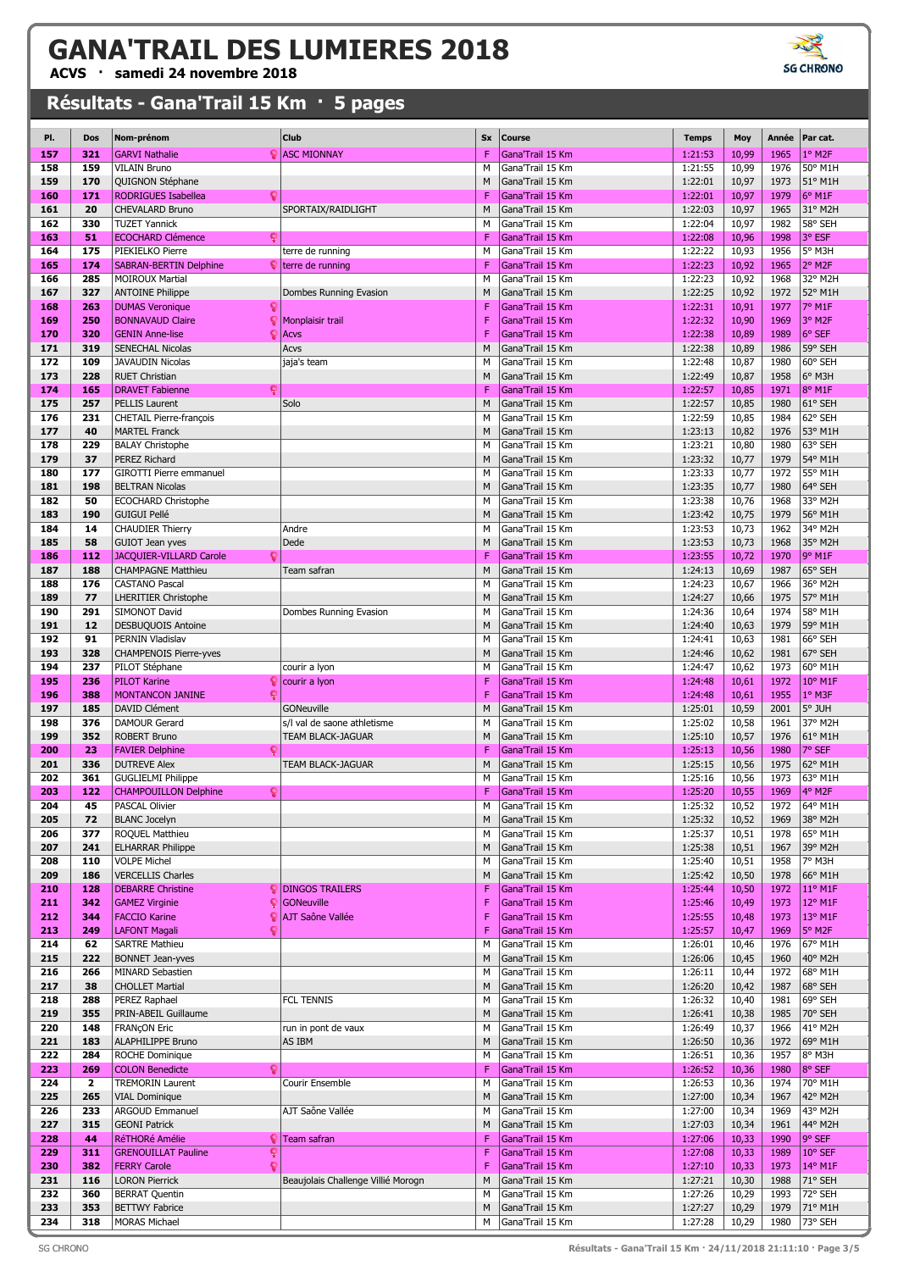**ACVS · samedi 24 novembre 2018**

| PI. | Dos          | Nom-prénom                        | Club                                   | Sx | Course           | Temps   | Moy   | Année | Par cat. |
|-----|--------------|-----------------------------------|----------------------------------------|----|------------------|---------|-------|-------|----------|
| 157 | 321          | <b>GARVI Nathalie</b>             | <b>ASC MIONNAY</b>                     | F  | Gana'Trail 15 Km | 1:21:53 | 10,99 | 1965  | 1° M2F   |
| 158 | 159          | <b>VILAIN Bruno</b>               |                                        | M  | Gana'Trail 15 Km | 1:21:55 | 10,99 | 1976  | 50° M1H  |
|     |              |                                   |                                        |    |                  |         |       |       |          |
| 159 | 170          | QUIGNON Stéphane                  |                                        | M  | Gana'Trail 15 Km | 1:22:01 | 10,97 | 1973  | 51° M1H  |
| 160 | 171          | <b>RODRIGUES Isabellea</b><br>O   |                                        | F  | Gana'Trail 15 Km | 1:22:01 | 10,97 | 1979  | 6° M1F   |
| 161 | 20           | CHEVALARD Bruno                   | SPORTAIX/RAIDLIGHT                     | M  | Gana'Trail 15 Km | 1:22:03 | 10,97 | 1965  | 31° M2H  |
| 162 | 330          | <b>TUZET Yannick</b>              |                                        | М  | Gana'Trail 15 Km | 1:22:04 | 10,97 | 1982  | 58° SEH  |
| 163 | 51           | <b>ECOCHARD Clémence</b><br>ç     |                                        | F  | Gana'Trail 15 Km | 1:22:08 | 10,96 | 1998  | 3° ESF   |
| 164 | 175          | PIEKIELKO Pierre                  | terre de running                       | М  | Gana'Trail 15 Km | 1:22:22 | 10,93 | 1956  | 5° M3H   |
| 165 | 174          | <b>SABRAN-BERTIN Delphine</b>     | $\blacktriangleright$ terre de running | F  | Gana'Trail 15 Km | 1:22:23 | 10,92 | 1965  | 2° M2F   |
|     | 285          | <b>MOIROUX Martial</b>            |                                        | M  | Gana'Trail 15 Km | 1:22:23 |       | 1968  | 32° M2H  |
| 166 |              |                                   |                                        |    |                  |         | 10,92 |       |          |
| 167 | 327          | <b>ANTOINE Philippe</b>           | Dombes Running Evasion                 | M  | Gana'Trail 15 Km | 1:22:25 | 10,92 | 1972  | 52° M1H  |
| 168 | 263          | g<br><b>DUMAS Veronique</b>       |                                        | F  | Gana'Trail 15 Km | 1:22:31 | 10,91 | 1977  | 7° M1F   |
| 169 | 250          | <b>BONNAVAUD Claire</b>           | Monplaisir trail                       | F  | Gana'Trail 15 Km | 1:22:32 | 10,90 | 1969  | 3° M2F   |
| 170 | 320          | Q<br><b>GENIN Anne-lise</b>       | Acvs                                   | F  | Gana'Trail 15 Km | 1:22:38 | 10,89 | 1989  | 6° SEF   |
| 171 | 319          | <b>SENECHAL Nicolas</b>           | Acvs                                   | M  | Gana'Trail 15 Km | 1:22:38 | 10,89 | 1986  | 59° SEH  |
|     |              |                                   |                                        |    |                  |         |       |       |          |
| 172 | 109          | <b>JAVAUDIN Nicolas</b>           | jaja's team                            | M  | Gana'Trail 15 Km | 1:22:48 | 10,87 | 1980  | 60° SEH  |
| 173 | 228          | <b>RUET Christian</b>             |                                        | M  | Gana'Trail 15 Km | 1:22:49 | 10,87 | 1958  | 6° M3H   |
| 174 | 165          | ç<br><b>DRAVET Fabienne</b>       |                                        | F  | Gana'Trail 15 Km | 1:22:57 | 10,85 | 1971  | 8° M1F   |
| 175 | 257          | <b>PELLIS Laurent</b>             | Solo                                   | M  | Gana'Trail 15 Km | 1:22:57 | 10,85 | 1980  | 61° SEH  |
| 176 | 231          | <b>CHETAIL Pierre-françois</b>    |                                        | М  | Gana'Trail 15 Km | 1:22:59 | 10,85 | 1984  | 62° SEH  |
|     |              |                                   |                                        |    |                  |         |       |       | 53° M1H  |
| 177 | 40           | <b>MARTEL Franck</b>              |                                        | M  | Gana'Trail 15 Km | 1:23:13 | 10,82 | 1976  |          |
| 178 | 229          | <b>BALAY Christophe</b>           |                                        | M  | Gana'Trail 15 Km | 1:23:21 | 10,80 | 1980  | 63° SEH  |
| 179 | 37           | PEREZ Richard                     |                                        | M  | Gana'Trail 15 Km | 1:23:32 | 10,77 | 1979  | 54° M1H  |
| 180 | 177          | <b>GIROTTI Pierre emmanuel</b>    |                                        | M  | Gana'Trail 15 Km | 1:23:33 | 10,77 | 1972  | 55° M1H  |
| 181 | 198          | <b>BELTRAN Nicolas</b>            |                                        | M  | Gana'Trail 15 Km | 1:23:35 | 10,77 | 1980  | 64° SEH  |
| 182 | 50           | <b>ECOCHARD Christophe</b>        |                                        | M  | Gana'Trail 15 Km | 1:23:38 | 10,76 | 1968  | 33° M2H  |
|     |              |                                   |                                        |    |                  |         |       |       |          |
| 183 | 190          | <b>GUIGUI Pellé</b>               |                                        | M  | Gana'Trail 15 Km | 1:23:42 | 10,75 | 1979  | 56° M1H  |
| 184 | 14           | <b>CHAUDIER Thierry</b>           | Andre                                  | M  | Gana'Trail 15 Km | 1:23:53 | 10,73 | 1962  | 34° M2H  |
| 185 | 58           | <b>GUIOT Jean yves</b>            | Dede                                   | M  | Gana'Trail 15 Km | 1:23:53 | 10,73 | 1968  | 35° M2H  |
| 186 | 112          | JACQUIER-VILLARD Carole<br>ç      |                                        | F  | Gana'Trail 15 Km | 1:23:55 | 10,72 | 1970  | 9° M1F   |
| 187 | 188          | <b>CHAMPAGNE Matthieu</b>         | Team safran                            | M  | Gana'Trail 15 Km | 1:24:13 | 10,69 | 1987  | 65° SEH  |
| 188 | 176          | <b>CASTANO Pascal</b>             |                                        | М  | Gana'Trail 15 Km | 1:24:23 | 10,67 | 1966  | 36° M2H  |
|     |              |                                   |                                        |    |                  |         |       |       |          |
| 189 | 77           | <b>LHERITIER Christophe</b>       |                                        | M  | Gana'Trail 15 Km | 1:24:27 | 10,66 | 1975  | 57° M1H  |
| 190 | 291          | SIMONOT David                     | Dombes Running Evasion                 | M  | Gana'Trail 15 Km | 1:24:36 | 10,64 | 1974  | 58° M1H  |
| 191 | 12           | DESBUQUOIS Antoine                |                                        | M  | Gana'Trail 15 Km | 1:24:40 | 10,63 | 1979  | 59° M1H  |
| 192 | 91           | PERNIN Vladislav                  |                                        | М  | Gana'Trail 15 Km | 1:24:41 | 10,63 | 1981  | 66° SEH  |
| 193 | 328          | <b>CHAMPENOIS Pierre-yves</b>     |                                        | M  | Gana'Trail 15 Km | 1:24:46 | 10,62 | 1981  | 67° SEH  |
| 194 | 237          | PILOT Stéphane                    |                                        | М  | Gana'Trail 15 Km | 1:24:47 | 10,62 | 1973  | 60° M1H  |
|     |              |                                   | courir a lyon                          |    |                  |         |       |       |          |
| 195 | 236          | <b>PILOT Karine</b>               | courir a lyon                          | F  | Gana'Trail 15 Km | 1:24:48 | 10,61 | 1972  | 10° M1F  |
| 196 | 388          | <b>MONTANCON JANINE</b><br>ç      |                                        | F  | Gana'Trail 15 Km | 1:24:48 | 10,61 | 1955  | 1° M3F   |
| 197 | 185          | DAVID Clément                     | GONeuville                             | M  | Gana'Trail 15 Km | 1:25:01 | 10,59 | 2001  | 5° JUH   |
| 198 | 376          | <b>DAMOUR Gerard</b>              | s/l val de saone athletisme            | М  | Gana'Trail 15 Km | 1:25:02 | 10,58 | 1961  | 37° M2H  |
| 199 | 352          | <b>ROBERT Bruno</b>               | TEAM BLACK-JAGUAR                      | M  | Gana'Trail 15 Km | 1:25:10 | 10,57 | 1976  | 61° M1H  |
| 200 | 23           | g<br><b>FAVIER Delphine</b>       |                                        | F  | Gana'Trail 15 Km | 1:25:13 | 10,56 | 1980  | 7° SEF   |
|     |              |                                   |                                        |    |                  |         |       |       |          |
| 201 | 336          | <b>DUTREVE Alex</b>               | <b>TEAM BLACK-JAGUAR</b>               | M  | Gana'Trail 15 Km | 1:25:15 | 10,56 | 1975  | 62° M1H  |
| 202 | 361          | <b>GUGLIELMI Philippe</b>         |                                        | М  | Gana'Trail 15 Km | 1:25:16 | 10,56 | 1973  | 63° M1H  |
| 203 | 122          | ହ<br><b>CHAMPOUILLON Delphine</b> |                                        | F  | Gana'Trail 15 Km | 1:25:20 | 10,55 | 1969  | 4° M2F   |
| 204 | 45           | <b>PASCAL Olivier</b>             |                                        | M  | Gana'Trail 15 Km | 1:25:32 | 10,52 | 1972  | 64° M1H  |
| 205 | 72           | <b>BLANC Jocelyn</b>              |                                        | M  | Gana'Trail 15 Km | 1:25:32 | 10,52 | 1969  | 38° M2H  |
| 206 | 377          | ROQUEL Matthieu                   |                                        | M  | Gana'Trail 15 Km | 1:25:37 | 10,51 | 1978  | 65° M1H  |
| 207 | 241          | <b>ELHARRAR Philippe</b>          |                                        | M  | Gana'Trail 15 Km | 1:25:38 | 10,51 | 1967  | 39° M2H  |
|     |              |                                   |                                        |    |                  |         |       |       |          |
| 208 | 110          | <b>VOLPE Michel</b>               |                                        | М  | Gana'Trail 15 Km | 1:25:40 | 10,51 | 1958  | 7° M3H   |
| 209 | 186          | <b>VERCELLIS Charles</b>          |                                        | M  | Gana'Trail 15 Km | 1:25:42 | 10,50 | 1978  | 66° M1H  |
| 210 | 128          | <b>DEBARRE Christine</b>          | <b>DINGOS TRAILERS</b>                 | F  | Gana'Trail 15 Km | 1:25:44 | 10,50 | 1972  | 11° M1F  |
| 211 | 342          | <b>GAMEZ Virginie</b><br>ç        | GONeuville                             | F  | Gana'Trail 15 Km | 1:25:46 | 10,49 | 1973  | 12° M1F  |
| 212 | 344          | <b>FACCIO Karine</b><br>ç         | AJT Saône Vallée                       | F  | Gana'Trail 15 Km | 1:25:55 | 10,48 | 1973  | 13° M1F  |
| 213 | 249          | <b>LAFONT Magali</b><br>c         |                                        | F  | Gana'Trail 15 Km | 1:25:57 | 10,47 | 1969  | 5° M2F   |
|     |              |                                   |                                        |    | Gana'Trail 15 Km |         |       |       | 67° M1H  |
| 214 | 62           | <b>SARTRE Mathieu</b>             |                                        | М  |                  | 1:26:01 | 10,46 | 1976  |          |
| 215 | 222          | <b>BONNET Jean-yves</b>           |                                        | M  | Gana'Trail 15 Km | 1:26:06 | 10,45 | 1960  | 40° M2H  |
| 216 | 266          | <b>MINARD Sebastien</b>           |                                        | М  | Gana'Trail 15 Km | 1:26:11 | 10,44 | 1972  | 68° M1H  |
| 217 | 38           | <b>CHOLLET Martial</b>            |                                        | M  | Gana'Trail 15 Km | 1:26:20 | 10,42 | 1987  | 68° SEH  |
| 218 | 288          | PEREZ Raphael                     | <b>FCL TENNIS</b>                      | М  | Gana'Trail 15 Km | 1:26:32 | 10,40 | 1981  | 69° SEH  |
| 219 | 355          | PRIN-ABEIL Guillaume              |                                        | M  | Gana'Trail 15 Km | 1:26:41 | 10,38 | 1985  | 70° SEH  |
|     |              |                                   |                                        |    |                  |         |       |       |          |
| 220 | 148          | <b>FRANÇON Eric</b>               | run in pont de vaux                    | М  | Gana'Trail 15 Km | 1:26:49 | 10,37 | 1966  | 41° M2H  |
| 221 | 183          | ALAPHILIPPE Bruno                 | AS IBM                                 | M  | Gana'Trail 15 Km | 1:26:50 | 10,36 | 1972  | 69° M1H  |
| 222 | 284          | ROCHE Dominique                   |                                        | М  | Gana'Trail 15 Km | 1:26:51 | 10,36 | 1957  | 8° M3H   |
| 223 | 269          | <b>COLON Benedicte</b><br>c       |                                        | F  | Gana'Trail 15 Km | 1:26:52 | 10,36 | 1980  | 8° SEF   |
| 224 | $\mathbf{2}$ | <b>TREMORIN Laurent</b>           | Courir Ensemble                        | М  | Gana'Trail 15 Km | 1:26:53 | 10,36 | 1974  | 70° M1H  |
|     |              |                                   |                                        |    |                  |         |       |       |          |
| 225 | 265          | <b>VIAL Dominique</b>             |                                        | M  | Gana'Trail 15 Km | 1:27:00 | 10,34 | 1967  | 42° M2H  |
| 226 | 233          | ARGOUD Emmanuel                   | AJT Saône Vallée                       | м  | Gana'Trail 15 Km | 1:27:00 | 10,34 | 1969  | 43° M2H  |
| 227 | 315          | <b>GEONI Patrick</b>              |                                        | M  | Gana'Trail 15 Km | 1:27:03 | 10,34 | 1961  | 44° M2H  |
| 228 | 44           | RéTHORé Amélie<br>្               | Team safran                            | F  | Gana'Trail 15 Km | 1:27:06 | 10,33 | 1990  | 9° SEF   |
| 229 | 311          | <b>GRENOUILLAT Pauline</b><br>Ç   |                                        | F  | Gana'Trail 15 Km | 1:27:08 | 10,33 | 1989  | 10° SEF  |
| 230 | 382          | g<br><b>FERRY Carole</b>          |                                        | F  | Gana'Trail 15 Km | 1:27:10 | 10,33 | 1973  | 14° M1F  |
| 231 | 116          | <b>LORON Pierrick</b>             | Beaujolais Challenge Villié Morogn     | M  | Gana'Trail 15 Km | 1:27:21 | 10,30 | 1988  | 71° SEH  |
|     |              |                                   |                                        |    |                  |         |       |       |          |
| 232 | 360          | <b>BERRAT Quentin</b>             |                                        | м  | Gana'Trail 15 Km | 1:27:26 | 10,29 | 1993  | 72° SEH  |
| 233 | 353          | <b>BETTWY Fabrice</b>             |                                        | M  | Gana'Trail 15 Km | 1:27:27 | 10,29 | 1979  | 71° M1H  |
| 234 | 318          | MORAS Michael                     |                                        | М  | Gana'Trail 15 Km | 1:27:28 | 10,29 | 1980  | 73° SEH  |

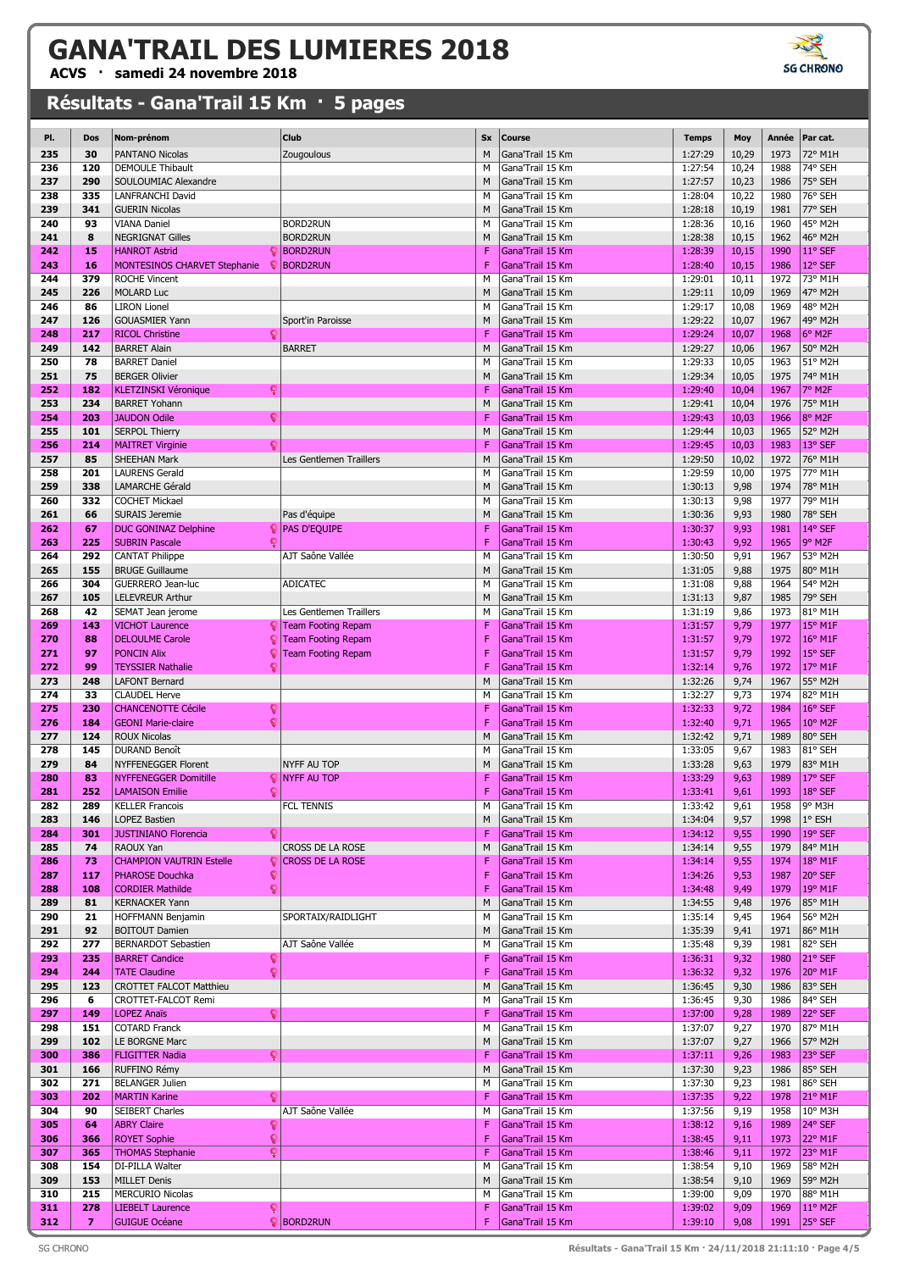**ACVS · samedi 24 novembre 2018**

| PI. | Dos            | Nom-prénom                           | Club                      | <b>Sx</b> | Course           | <b>Temps</b> | Moy   | Année | Par cat.         |
|-----|----------------|--------------------------------------|---------------------------|-----------|------------------|--------------|-------|-------|------------------|
| 235 | 30             | PANTANO Nicolas                      | Zougoulous                | M         | Gana'Trail 15 Km | 1:27:29      | 10,29 | 1973  | 72° M1H          |
| 236 | 120            | <b>DEMOULE Thibault</b>              |                           | M         | Gana'Trail 15 Km | 1:27:54      | 10,24 | 1988  | 74° SEH          |
| 237 | 290            | SOULOUMIAC Alexandre                 |                           | M         | Gana'Trail 15 Km | 1:27:57      | 10,23 | 1986  | 75° SEH          |
| 238 | 335            | LANFRANCHI David                     |                           | M         | Gana'Trail 15 Km | 1:28:04      | 10,22 | 1980  | 76° SEH          |
|     |                |                                      |                           |           |                  |              |       |       |                  |
| 239 | 341            | <b>GUERIN Nicolas</b>                |                           | M         | Gana'Trail 15 Km | 1:28:18      | 10,19 | 1981  | 77° SEH          |
| 240 | 93             | VIANA Daniel                         | <b>BORD2RUN</b>           | М         | Gana'Trail 15 Km | 1:28:36      | 10,16 | 1960  | 45° M2H          |
| 241 | 8              | <b>NEGRIGNAT Gilles</b>              | <b>BORD2RUN</b>           | M         | Gana'Trail 15 Km | 1:28:38      | 10,15 | 1962  | 46° M2H          |
| 242 | 15             | <b>HANROT Astrid</b><br>Q            | <b>BORD2RUN</b>           | F         | Gana'Trail 15 Km | 1:28:39      | 10,15 | 1990  | 11° SEF          |
| 243 | 16             | MONTESINOS CHARVET Stephanie<br>ç    | <b>BORD2RUN</b>           | F         | Gana'Trail 15 Km | 1:28:40      | 10,15 | 1986  | 12° SEF          |
| 244 | 379            | <b>ROCHE Vincent</b>                 |                           | M         | Gana'Trail 15 Km | 1:29:01      | 10,11 | 1972  | 73° M1H          |
| 245 | 226            | <b>MOLARD Luc</b>                    |                           | M         | Gana'Trail 15 Km | 1:29:11      | 10,09 | 1969  | 47° M2H          |
| 246 | 86             | <b>LIRON Lionel</b>                  |                           | M         | Gana'Trail 15 Km | 1:29:17      | 10,08 | 1969  | 48° M2H          |
| 247 | 126            | <b>GOUASMIER Yann</b>                | Sport'in Paroisse         | M         | Gana'Trail 15 Km | 1:29:22      | 10,07 | 1967  | 49° M2H          |
| 248 | 217            | <b>RICOL Christine</b><br>g          |                           | F         | Gana'Trail 15 Km | 1:29:24      | 10,07 | 1968  | 6° M2F           |
| 249 | 142            | <b>BARRET Alain</b>                  | <b>BARRET</b>             | M         | Gana'Trail 15 Km | 1:29:27      | 10,06 | 1967  | 50° M2H          |
| 250 | 78             | <b>BARRET Daniel</b>                 |                           | M         | Gana'Trail 15 Km | 1:29:33      | 10,05 | 1963  | 51° M2H          |
| 251 | 75             | <b>BERGER Olivier</b>                |                           | M         | Gana'Trail 15 Km | 1:29:34      | 10,05 | 1975  | 74° M1H          |
| 252 | 182            | ្                                    |                           | F         | Gana'Trail 15 Km | 1:29:40      | 10,04 | 1967  | 7° M2F           |
|     | 234            | <b>KLETZINSKI Véronique</b>          |                           |           |                  |              |       |       |                  |
| 253 |                | <b>BARRET Yohann</b>                 |                           | M         | Gana'Trail 15 Km | 1:29:41      | 10,04 | 1976  | 75° M1H          |
| 254 | 203            | Q<br><b>JAUDON Odile</b>             |                           | F         | Gana'Trail 15 Km | 1:29:43      | 10,03 | 1966  | 8° M2F           |
| 255 | 101            | <b>SERPOL Thierry</b>                |                           | M         | Gana'Trail 15 Km | 1:29:44      | 10,03 | 1965  | 52° M2H          |
| 256 | 214            | g<br><b>MAITRET Virginie</b>         |                           | F         | Gana'Trail 15 Km | 1:29:45      | 10,03 | 1983  | 13° SEF          |
| 257 | 85             | <b>SHEEHAN Mark</b>                  | Les Gentlemen Traillers   | M         | Gana'Trail 15 Km | 1:29:50      | 10,02 | 1972  | 76° M1H          |
| 258 | 201            | <b>LAURENS Gerald</b>                |                           | M         | Gana'Trail 15 Km | 1:29:59      | 10,00 | 1975  | 77° M1H          |
| 259 | 338            | <b>LAMARCHE Gérald</b>               |                           | M         | Gana'Trail 15 Km | 1:30:13      | 9,98  | 1974  | 78° M1H          |
| 260 | 332            | <b>COCHET Mickael</b>                |                           | M         | Gana'Trail 15 Km | 1:30:13      | 9,98  | 1977  | 79° M1H          |
| 261 | 66             | <b>SURAIS Jeremie</b>                | Pas d'équipe              | M         | Gana'Trail 15 Km | 1:30:36      | 9,93  | 1980  | 78° SEH          |
| 262 | 67             | <b>DUC GONINAZ Delphine</b>          | $\bigcirc$ PAS D'EQUIPE   | F         | Gana'Trail 15 Km | 1:30:37      | 9,93  | 1981  | 14° SEF          |
| 263 | 225            | <b>SUBRIN Pascale</b>                |                           | F         | Gana'Trail 15 Km | 1:30:43      | 9,92  | 1965  | 9° M2F           |
| 264 | 292            | <b>CANTAT Philippe</b>               | AJT Saône Vallée          | М         | Gana'Trail 15 Km | 1:30:50      | 9,91  | 1967  | 53° M2H          |
| 265 | 155            |                                      |                           | M         | Gana'Trail 15 Km | 1:31:05      |       | 1975  |                  |
|     |                | <b>BRUGE Guillaume</b>               |                           |           |                  |              | 9,88  |       | 80° M1H          |
| 266 | 304            | GUERRERO Jean-luc                    | <b>ADICATEC</b>           | М         | Gana'Trail 15 Km | 1:31:08      | 9,88  | 1964  | 54° M2H          |
| 267 | 105            | <b>LELEVREUR Arthur</b>              |                           | M         | Gana'Trail 15 Km | 1:31:13      | 9,87  | 1985  | 79° SEH          |
| 268 | 42             | SEMAT Jean jerome                    | Les Gentlemen Traillers   | М         | Gana'Trail 15 Km | 1:31:19      | 9,86  | 1973  | 81° M1H          |
| 269 | 143            | <b>VICHOT Laurence</b>               | <b>Team Footing Repam</b> | F         | Gana'Trail 15 Km | 1:31:57      | 9,79  | 1977  | 15° M1F          |
| 270 | 88             | <b>DELOULME Carole</b><br>្          | <b>Team Footing Repam</b> | F         | Gana'Trail 15 Km | 1:31:57      | 9,79  | 1972  | 16° M1F          |
| 271 | 97             | <b>PONCIN Alix</b><br>ç              | <b>Team Footing Repam</b> | F         | Gana'Trail 15 Km | 1:31:57      | 9,79  | 1992  | 15° SEF          |
| 272 | 99             | Q<br><b>TEYSSIER Nathalie</b>        |                           | F         | Gana'Trail 15 Km | 1:32:14      | 9,76  | 1972  | 17° M1F          |
| 273 | 248            | <b>LAFONT Bernard</b>                |                           | M         | Gana'Trail 15 Km | 1:32:26      | 9,74  | 1967  | 55° M2H          |
| 274 | 33             | <b>CLAUDEL Herve</b>                 |                           | М         | Gana'Trail 15 Km | 1:32:27      | 9,73  | 1974  | 82° M1H          |
| 275 | 230            | <b>CHANCENOTTE Cécile</b><br>ុ       |                           | F         | Gana'Trail 15 Km | 1:32:33      | 9,72  | 1984  | 16° SEF          |
| 276 | 184            | Q<br><b>GEONI Marie-claire</b>       |                           | F         | Gana'Trail 15 Km | 1:32:40      | 9,71  | 1965  | 10° M2F          |
| 277 | 124            | <b>ROUX Nicolas</b>                  |                           | M         | Gana'Trail 15 Km | 1:32:42      | 9,71  | 1989  | 80° SEH          |
| 278 | 145            | DURAND Benoît                        |                           | М         | Gana'Trail 15 Km | 1:33:05      | 9,67  | 1983  | 81° SEH          |
| 279 | 84             | <b>NYFFENEGGER Florent</b>           | <b>NYFF AU TOP</b>        | M         |                  | 1:33:28      | 9,63  | 1979  | 83° M1H          |
|     |                |                                      |                           |           | Gana'Trail 15 Km |              |       |       |                  |
| 280 | 83             | <b>NYFFENEGGER Domitille</b><br>ç    | <b>NYFF AU TOP</b>        | F         | Gana'Trail 15 Km | 1:33:29      | 9,63  | 1989  | 17° SEF          |
| 281 | 252            | <b>LAMAISON Emilie</b><br>c          |                           | F         | Gana'Trail 15 Km | 1:33:41      | 9,61  | 1993  | 18° SEF          |
| 282 | 289            | <b>KELLER Francois</b>               | FCL TENNIS                | M         | Gana'Trail 15 Km | 1:33:42      | 9,61  | 1958  | 9° M3H           |
| 283 | 146            | <b>LOPEZ Bastien</b>                 |                           | M         | Gana'Trail 15 Km | 1:34:04      | 9,57  | 1998  | 1° ESH           |
| 284 | 301            | <b>JUSTINIANO Florencia</b><br>្     |                           | F         | Gana'Trail 15 Km | 1:34:12      | 9,55  | 1990  | 19° SEF          |
| 285 | 74             | RAOUX Yan                            | CROSS DE LA ROSE          | M         | Gana'Trail 15 Km | 1:34:14      | 9,55  | 1979  | 84° M1H          |
| 286 | 73             | <b>CHAMPION VAUTRIN Estelle</b><br>្ | <b>CROSS DE LA ROSE</b>   | F         | Gana'Trail 15 Km | 1:34:14      | 9,55  | 1974  | 18° M1F          |
| 287 | 117            | <b>PHAROSE Douchka</b><br>ុ          |                           | F         | Gana'Trail 15 Km | 1:34:26      | 9,53  | 1987  | 20° SEF          |
| 288 | 108            | ç<br><b>CORDIER Mathilde</b>         |                           | F         | Gana'Trail 15 Km | 1:34:48      | 9,49  | 1979  | 19° M1F          |
| 289 | 81             | <b>KERNACKER Yann</b>                |                           | M         | Gana'Trail 15 Km | 1:34:55      | 9,48  | 1976  | 85° M1H          |
| 290 | 21             | HOFFMANN Benjamin                    | SPORTAIX/RAIDLIGHT        | М         | Gana'Trail 15 Km | 1:35:14      | 9,45  | 1964  | 56° M2H          |
| 291 | 92             | <b>BOITOUT Damien</b>                |                           | M         | Gana'Trail 15 Km | 1:35:39      | 9,41  | 1971  | 86° M1H          |
| 292 | 277            | <b>BERNARDOT Sebastien</b>           | AJT Saône Vallée          | М         | Gana'Trail 15 Km | 1:35:48      | 9,39  | 1981  | 82° SEH          |
| 293 | 235            | <b>BARRET Candice</b><br>ទូ          |                           | F         | Gana'Trail 15 Km | 1:36:31      | 9,32  | 1980  | 21° SEF          |
| 294 | 244            | ó<br><b>TATE Claudine</b>            |                           | F         | Gana'Trail 15 Km | 1:36:32      | 9,32  | 1976  | 20° M1F          |
| 295 | 123            | CROTTET FALCOT Matthieu              |                           | M         | Gana'Trail 15 Km | 1:36:45      | 9,30  | 1986  | 83° SEH          |
|     | 6              | CROTTET-FALCOT Remi                  |                           |           | Gana'Trail 15 Km |              |       |       |                  |
| 296 |                |                                      |                           | М         |                  | 1:36:45      | 9,30  | 1986  | 84° SEH          |
| 297 | 149            | <b>LOPEZ Anaïs</b><br>ុ              |                           | F         | Gana'Trail 15 Km | 1:37:00      | 9,28  | 1989  | 22° SEF          |
| 298 | 151            | <b>COTARD Franck</b>                 |                           | М         | Gana'Trail 15 Km | 1:37:07      | 9,27  | 1970  | 87° M1H          |
| 299 | 102            | LE BORGNE Marc                       |                           | M         | Gana'Trail 15 Km | 1:37:07      | 9,27  | 1966  | 57° M2H          |
| 300 | 386            | <b>FLIGITTER Nadia</b><br>ç          |                           | F         | Gana'Trail 15 Km | 1:37:11      | 9,26  | 1983  | 23° SEF          |
| 301 | 166            | RUFFINO Rémy                         |                           | M         | Gana'Trail 15 Km | 1:37:30      | 9,23  | 1986  | 85° SEH          |
| 302 | 271            | <b>BELANGER Julien</b>               |                           | М         | Gana'Trail 15 Km | 1:37:30      | 9,23  | 1981  | 86° SEH          |
| 303 | 202            | <b>MARTIN Karine</b><br>ទ្           |                           | F         | Gana'Trail 15 Km | 1:37:35      | 9,22  | 1978  | 21° M1F          |
| 304 | 90             | SEIBERT Charles                      | AJT Saône Vallée          | М         | Gana'Trail 15 Km | 1:37:56      | 9,19  | 1958  | 10° M3H          |
| 305 | 64             | <b>ABRY Claire</b><br>ទ្             |                           | F         | Gana'Trail 15 Km | 1:38:12      | 9,16  | 1989  | 24° SEF          |
| 306 | 366            | ្<br><b>ROYET Sophie</b>             |                           | F         | Gana'Trail 15 Km | 1:38:45      | 9,11  | 1973  | 22° M1F          |
| 307 | 365            | ç<br><b>THOMAS Stephanie</b>         |                           | F         |                  |              |       | 1972  | 23° M1F          |
|     |                |                                      |                           |           | Gana'Trail 15 Km | 1:38:46      | 9,11  |       |                  |
| 308 | 154            | DI-PILLA Walter                      |                           | М         | Gana'Trail 15 Km | 1:38:54      | 9,10  | 1969  | 58° M2H          |
| 309 | 153            | <b>MILLET Denis</b>                  |                           | M         | Gana'Trail 15 Km | 1:38:54      | 9,10  | 1969  | 59° M2H          |
| 310 | 215            | <b>MERCURIO Nicolas</b>              |                           | М         | Gana'Trail 15 Km | 1:39:00      | 9,09  | 1970  | 88° M1H          |
| 311 | 278            | <b>LIEBELT Laurence</b><br>ç         |                           | F         | Gana'Trail 15 Km | 1:39:02      | 9,09  | 1969  | 11° M2F          |
| 312 | $\overline{z}$ | <b>GUIGUE Océane</b>                 | <b>D</b> BORD2RUN         | F         | Gana'Trail 15 Km | 1:39:10      | 9,08  | 1991  | $25^{\circ}$ SEF |